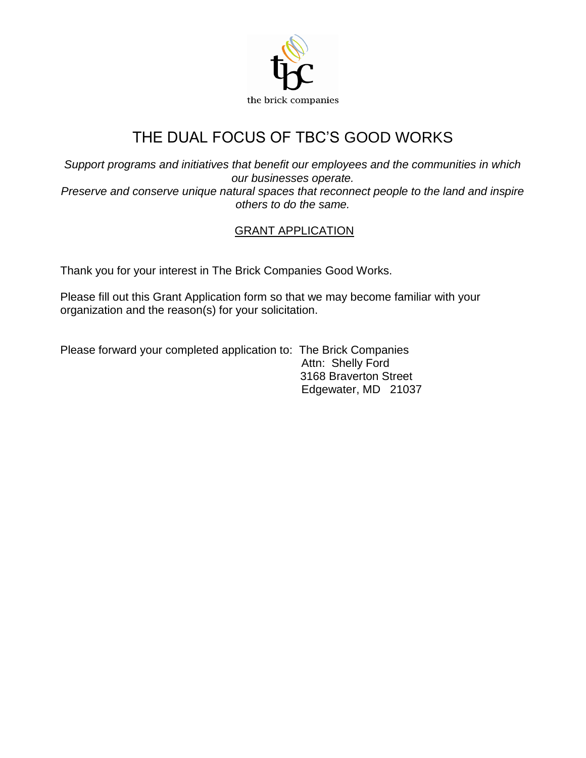

# THE DUAL FOCUS OF TBC'S GOOD WORKS

*Support programs and initiatives that benefit our employees and the communities in which our businesses operate.*

*Preserve and conserve unique natural spaces that reconnect people to the land and inspire others to do the same.*

## GRANT APPLICATION

Thank you for your interest in The Brick Companies Good Works.

Please fill out this Grant Application form so that we may become familiar with your organization and the reason(s) for your solicitation.

Please forward your completed application to: The Brick Companies Attn: Shelly Ford 3168 Braverton Street Edgewater, MD 21037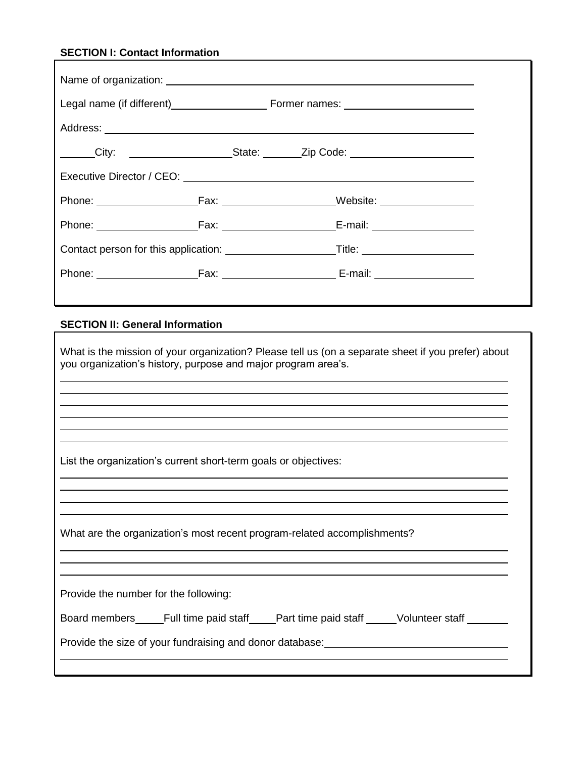## **SECTION I: Contact Information**

|  | ______City: ________________________State: ________Zip Code: ___________________                                                                                                                                               |  |
|--|--------------------------------------------------------------------------------------------------------------------------------------------------------------------------------------------------------------------------------|--|
|  | Executive Director / CEO: \\contact \\contact \\contact \\contact \\contact \\contact \\contact \\contact \\contact \\contact \\contact \\contact \\contact \\contact \\contact \\contact \\contact \\contact \\contact \\cont |  |
|  |                                                                                                                                                                                                                                |  |
|  | Phone: Fax: Fax: Frax: Fernail: Fernail:                                                                                                                                                                                       |  |
|  |                                                                                                                                                                                                                                |  |
|  | Phone: Fax: Fax: Fax: E-mail:                                                                                                                                                                                                  |  |
|  |                                                                                                                                                                                                                                |  |

### **SECTION II: General Information**

| What is the mission of your organization? Please tell us (on a separate sheet if you prefer) about<br>you organization's history, purpose and major program area's. |  |  |  |  |
|---------------------------------------------------------------------------------------------------------------------------------------------------------------------|--|--|--|--|
|                                                                                                                                                                     |  |  |  |  |
|                                                                                                                                                                     |  |  |  |  |
| List the organization's current short-term goals or objectives:                                                                                                     |  |  |  |  |
|                                                                                                                                                                     |  |  |  |  |
| What are the organization's most recent program-related accomplishments?                                                                                            |  |  |  |  |
|                                                                                                                                                                     |  |  |  |  |
| Provide the number for the following:                                                                                                                               |  |  |  |  |
| Board members_____Full time paid staff_____Part time paid staff _____Volunteer staff _______                                                                        |  |  |  |  |
| Provide the size of your fundraising and donor database: _______________________                                                                                    |  |  |  |  |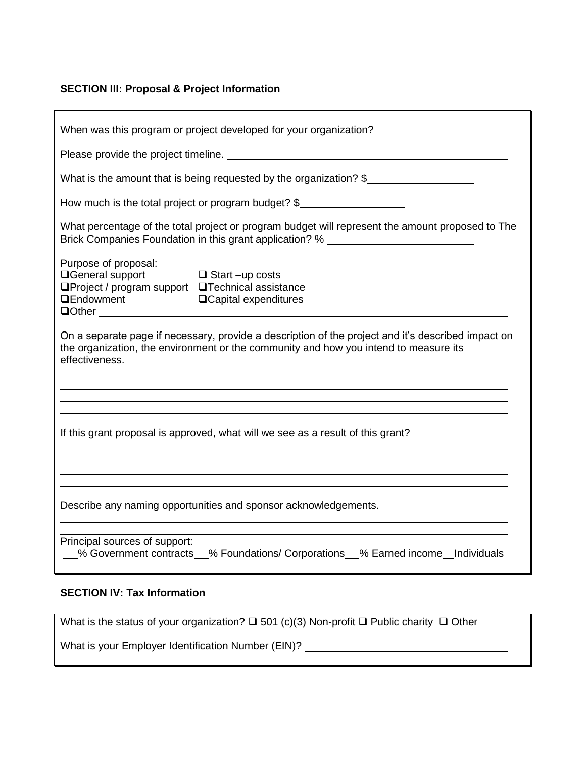#### **SECTION III: Proposal & Project Information**

| When was this program or project developed for your organization?                                                                                                                                            |  |  |  |
|--------------------------------------------------------------------------------------------------------------------------------------------------------------------------------------------------------------|--|--|--|
|                                                                                                                                                                                                              |  |  |  |
| What is the amount that is being requested by the organization? $\frac{1}{2}$                                                                                                                                |  |  |  |
| How much is the total project or program budget? $\frac{1}{2}$                                                                                                                                               |  |  |  |
| What percentage of the total project or program budget will represent the amount proposed to The<br>Brick Companies Foundation in this grant application? % ________________________                         |  |  |  |
| Purpose of proposal:<br>□General support □ Start -up costs<br>□Project / program support □Technical assistance                                                                                               |  |  |  |
| On a separate page if necessary, provide a description of the project and it's described impact on<br>the organization, the environment or the community and how you intend to measure its<br>effectiveness. |  |  |  |
|                                                                                                                                                                                                              |  |  |  |
| If this grant proposal is approved, what will we see as a result of this grant?                                                                                                                              |  |  |  |
|                                                                                                                                                                                                              |  |  |  |
| Describe any naming opportunities and sponsor acknowledgements.                                                                                                                                              |  |  |  |
| Principal sources of support:<br>600 % Government contracts 60% Foundations/ Corporations 60% Earned income hadividuals                                                                                      |  |  |  |

#### **SECTION IV: Tax Information**

What is the status of your organization?  $\square$  501 (c)(3) Non-profit  $\square$  Public charity  $\square$  Other

What is your Employer Identification Number (EIN)? \_\_\_\_\_\_\_\_\_\_\_\_\_\_\_\_\_\_\_\_\_\_\_\_\_\_\_\_\_